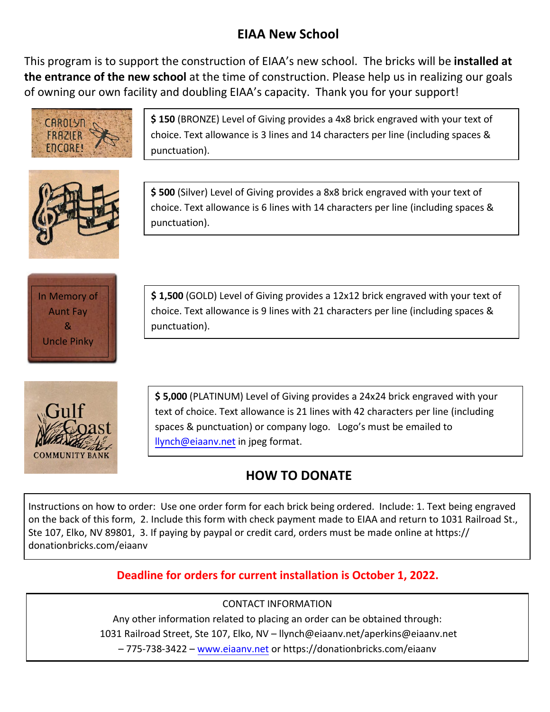## **EIAA New School**

This program is to support the construction of EIAA's new school. The bricks will be **installed at the entrance of the new school** at the time of construction. Please help us in realizing our goals of owning our own facility and doubling EIAA's capacity. Thank you for your support!



**\$ 150** (BRONZE) Level of Giving provides a 4x8 brick engraved with your text of choice. Text allowance is 3 lines and 14 characters per line (including spaces & punctuation).



**\$ 500** (Silver) Level of Giving provides a 8x8 brick engraved with your text of choice. Text allowance is 6 lines with 14 characters per line (including spaces & punctuation).



**\$ 1,500** (GOLD) Level of Giving provides a 12x12 brick engraved with your text of choice. Text allowance is 9 lines with 21 characters per line (including spaces & punctuation).



**\$ 5,000** (PLATINUM) Level of Giving provides a 24x24 brick engraved with your text of choice. Text allowance is 21 lines with 42 characters per line (including spaces & punctuation) or company logo. Logo's must be emailed to [llynch@eiaanv.net](mailto:llynch@eiaanv.net) in jpeg format.

## **HOW TO DONATE**

Instructions on how to order: Use one order form for each brick being ordered. Include: 1. Text being engraved on the back of this form, 2. Include this form with check payment made to EIAA and return to 1031 Railroad St., Ste 107, Elko, NV 89801, 3. If paying by paypal or credit card, orders must be made online at https:// donationbricks.com/eiaanv

## **Deadline for orders for current installation is October 1, 2022.**

## CONTACT INFORMATION

Any other infor[mation related to](http://www.eiaanv.net/) placing an order can be obtained through: 1031 Railroad Street, Ste 107, Elko, NV – llynch@eiaanv.net/aperkins@eiaanv.net – 775-738-3422 – www.eiaanv.net or https://donationbricks.com/eiaanv